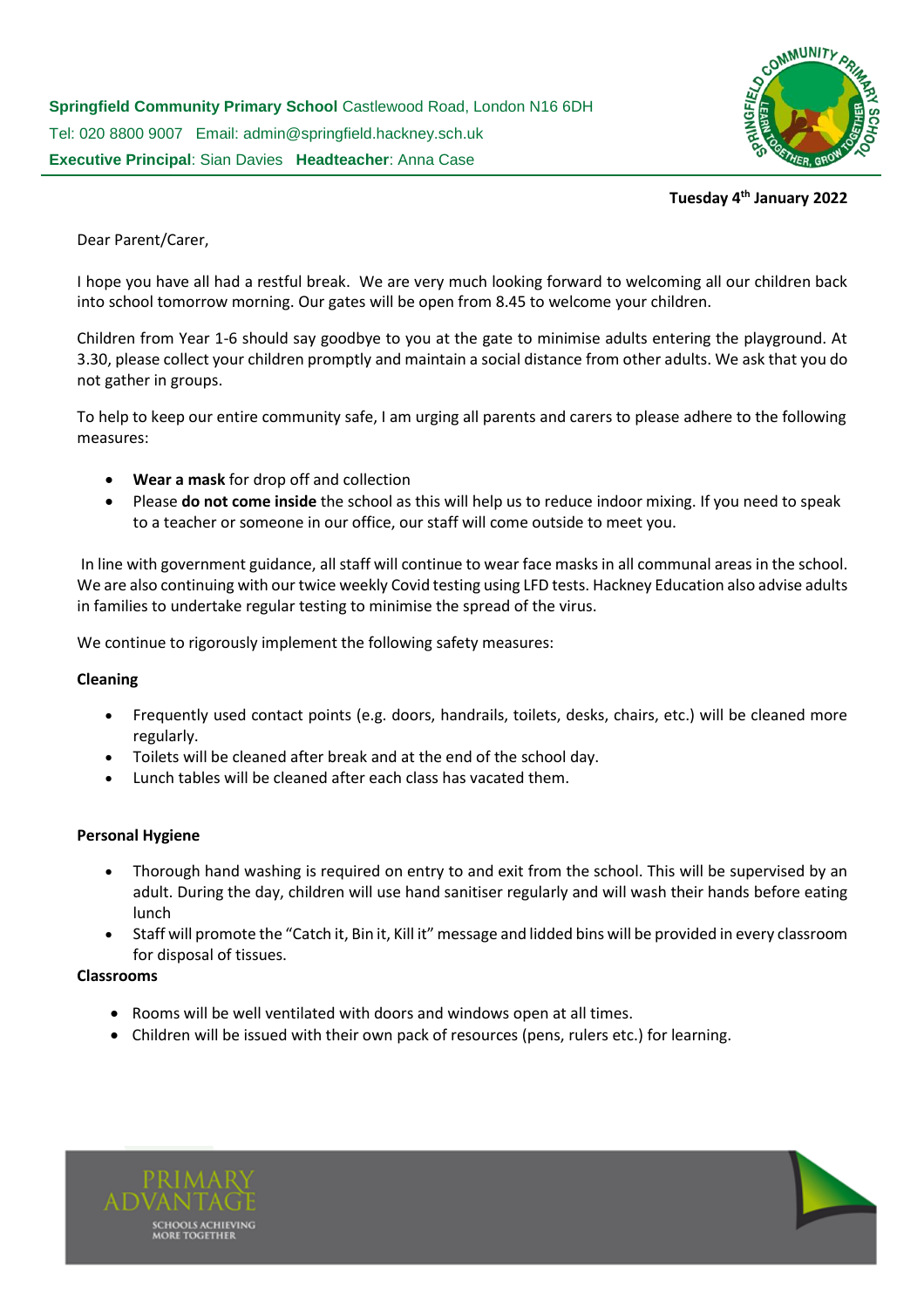

# **Tuesday 4 th January 2022**

Dear Parent/Carer,

I hope you have all had a restful break. We are very much looking forward to welcoming all our children back into school tomorrow morning. Our gates will be open from 8.45 to welcome your children.

Children from Year 1-6 should say goodbye to you at the gate to minimise adults entering the playground. At 3.30, please collect your children promptly and maintain a social distance from other adults. We ask that you do not gather in groups.

To help to keep our entire community safe, I am urging all parents and carers to please adhere to the following measures:

- **Wear a mask** for drop off and collection
- Please **do not come inside** the school as this will help us to reduce indoor mixing. If you need to speak to a teacher or someone in our office, our staff will come outside to meet you.

In line with government guidance, all staff will continue to wear face masks in all communal areas in the school. We are also continuing with our twice weekly Covid testing using LFD tests. Hackney Education also advise adults in families to undertake regular testing to minimise the spread of the virus.

We continue to rigorously implement the following safety measures:

### **Cleaning**

- Frequently used contact points (e.g. doors, handrails, toilets, desks, chairs, etc.) will be cleaned more regularly.
- Toilets will be cleaned after break and at the end of the school day.
- Lunch tables will be cleaned after each class has vacated them.

### **Personal Hygiene**

- Thorough hand washing is required on entry to and exit from the school. This will be supervised by an adult. During the day, children will use hand sanitiser regularly and will wash their hands before eating lunch
- Staff will promote the "Catch it, Bin it, Kill it" message and lidded bins will be provided in every classroom for disposal of tissues.

### **Classrooms**

- Rooms will be well ventilated with doors and windows open at all times.
- Children will be issued with their own pack of resources (pens, rulers etc.) for learning.